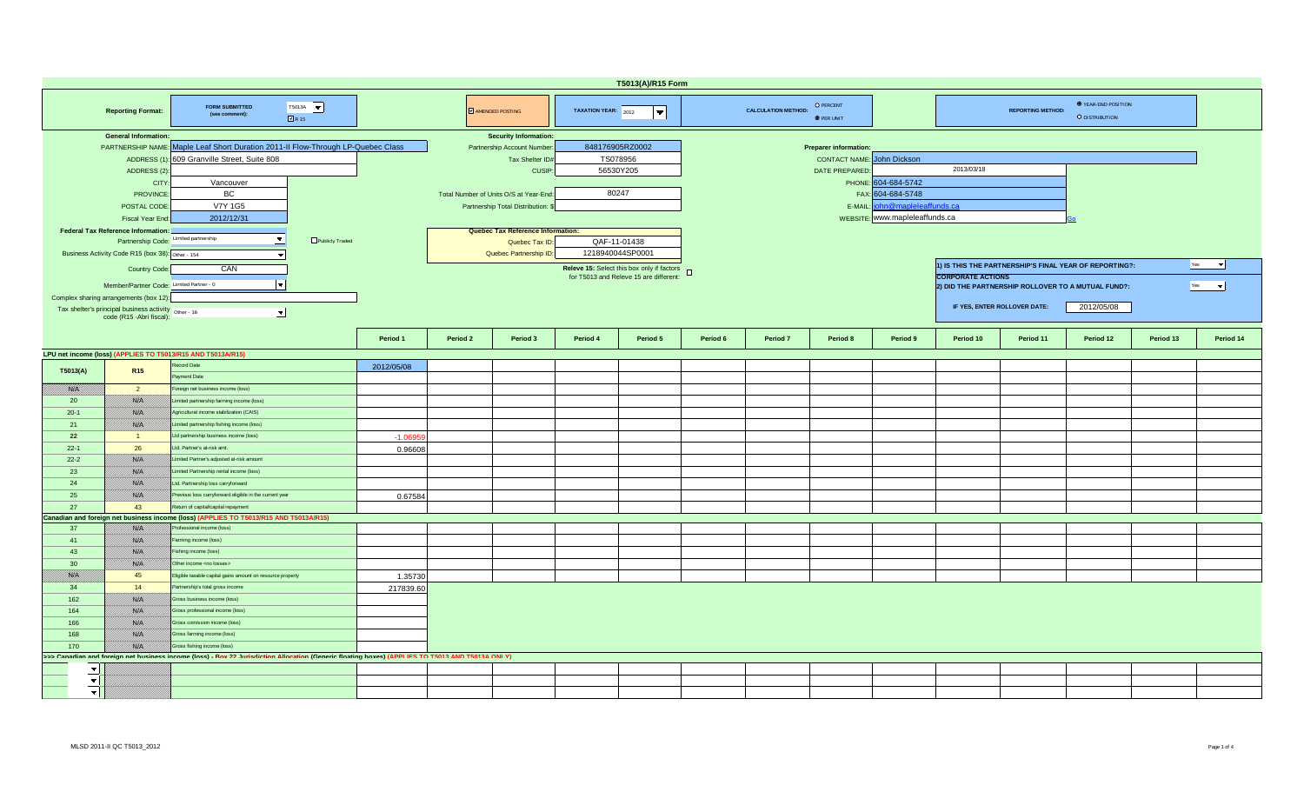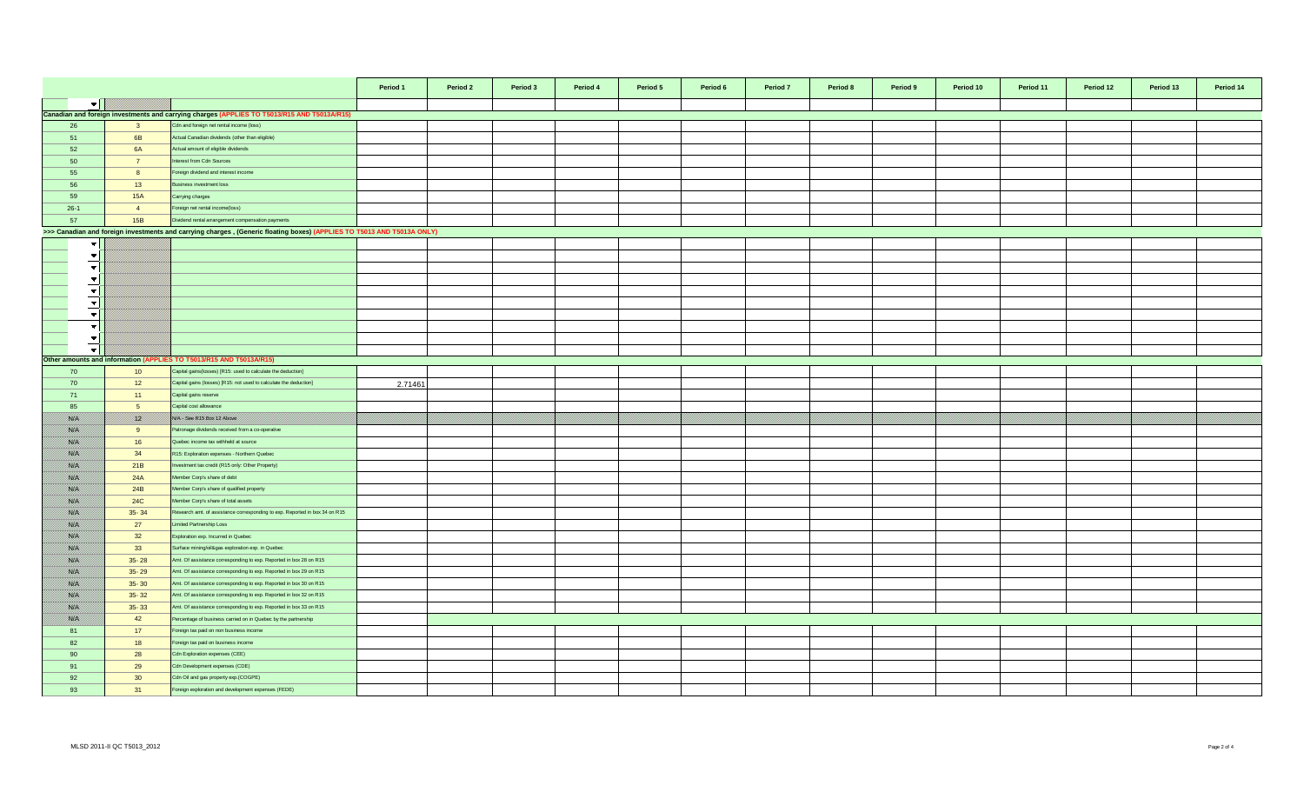|                          |                 |                                                                                                                        | Period 1 | Period 2 | Period 3 | Period 4 | Period 5 | Period 6 | Period 7 | Period 8 | Period 9 | Period 10 | Period 11 | Period 12 | Period 13 | Period 14 |
|--------------------------|-----------------|------------------------------------------------------------------------------------------------------------------------|----------|----------|----------|----------|----------|----------|----------|----------|----------|-----------|-----------|-----------|-----------|-----------|
| $\blacktriangledown$     |                 |                                                                                                                        |          |          |          |          |          |          |          |          |          |           |           |           |           |           |
|                          |                 | Canadian and foreign investments and carrying charges (APPLIES TO T5013/R15 AND T5013A/R15)                            |          |          |          |          |          |          |          |          |          |           |           |           |           |           |
| 26                       | $\mathbf{3}$    | Cdn and foreign net rental income (loss)                                                                               |          |          |          |          |          |          |          |          |          |           |           |           |           |           |
| 51                       | 6 <b>B</b>      | Actual Canadian dividends (other than eligible)                                                                        |          |          |          |          |          |          |          |          |          |           |           |           |           |           |
| 52                       | <b>6A</b>       | Actual amount of eligible dividends                                                                                    |          |          |          |          |          |          |          |          |          |           |           |           |           |           |
| 50                       | $\overline{7}$  | terest from Cdn Sources                                                                                                |          |          |          |          |          |          |          |          |          |           |           |           |           |           |
| 55                       | 8               | oreign dividend and interest income                                                                                    |          |          |          |          |          |          |          |          |          |           |           |           |           |           |
| 56                       | 13              | usiness investment loss                                                                                                |          |          |          |          |          |          |          |          |          |           |           |           |           |           |
| 59                       | 15A             | Carrying charges                                                                                                       |          |          |          |          |          |          |          |          |          |           |           |           |           |           |
|                          |                 |                                                                                                                        |          |          |          |          |          |          |          |          |          |           |           |           |           |           |
| $26-1$                   | $\overline{4}$  | oreign net rental income(loss)                                                                                         |          |          |          |          |          |          |          |          |          |           |           |           |           |           |
| 57                       | 15B             | Dividend rental arrangement compensation payments                                                                      |          |          |          |          |          |          |          |          |          |           |           |           |           |           |
|                          |                 | >>> Canadian and foreign investments and carrying charges, (Generic floating boxes) (APPLIES TO T5013 AND T5013A ONLY) |          |          |          |          |          |          |          |          |          |           |           |           |           |           |
| $\overline{\phantom{a}}$ |                 |                                                                                                                        |          |          |          |          |          |          |          |          |          |           |           |           |           |           |
| $\overline{\phantom{a}}$ |                 |                                                                                                                        |          |          |          |          |          |          |          |          |          |           |           |           |           |           |
| $\overline{\phantom{a}}$ |                 |                                                                                                                        |          |          |          |          |          |          |          |          |          |           |           |           |           |           |
| $\overline{\phantom{a}}$ |                 |                                                                                                                        |          |          |          |          |          |          |          |          |          |           |           |           |           |           |
| $\blacktriangledown$     |                 |                                                                                                                        |          |          |          |          |          |          |          |          |          |           |           |           |           |           |
| $\overline{\phantom{a}}$ |                 |                                                                                                                        |          |          |          |          |          |          |          |          |          |           |           |           |           |           |
| $\vert \cdot \vert$      |                 |                                                                                                                        |          |          |          |          |          |          |          |          |          |           |           |           |           |           |
| $\blacktriangledown$     |                 |                                                                                                                        |          |          |          |          |          |          |          |          |          |           |           |           |           |           |
| $\blacktriangledown$     |                 |                                                                                                                        |          |          |          |          |          |          |          |          |          |           |           |           |           |           |
| $\bullet$                |                 |                                                                                                                        |          |          |          |          |          |          |          |          |          |           |           |           |           |           |
|                          |                 | Other amounts and information (APPLIES TO T5013/R15 AND T5013A/R15)                                                    |          |          |          |          |          |          |          |          |          |           |           |           |           |           |
| 70                       | 10              | Capital gains (losses) [R15: used to calculate the deduction]                                                          |          |          |          |          |          |          |          |          |          |           |           |           |           |           |
| 70                       | 12              | Capital gains (losses) [R15: not used to calculate the deduction]                                                      | 2.71461  |          |          |          |          |          |          |          |          |           |           |           |           |           |
| 71                       | 11              | Capital gains reserve                                                                                                  |          |          |          |          |          |          |          |          |          |           |           |           |           |           |
| 85                       | 5 <sup>5</sup>  | Capital cost allowance                                                                                                 |          |          |          |          |          |          |          |          |          |           |           |           |           |           |
| <b>Sida</b>              | <u> Kill</u>    | NA SORRIS BOX 12 ADONE                                                                                                 |          |          |          |          |          |          |          |          |          |           |           |           |           |           |
| ssa.                     | 9               | atronage dividends received from a co-operative                                                                        |          |          |          |          |          |          |          |          |          |           |           |           |           |           |
| 88. I                    | 16              | Quebec income tax withheld at source                                                                                   |          |          |          |          |          |          |          |          |          |           |           |           |           |           |
| ssiel                    | 34              | R15: Exploration expenses - Northern Quebec                                                                            |          |          |          |          |          |          |          |          |          |           |           |           |           |           |
| <b>SSIE</b>              |                 | westment tax credit (R15 only: Other Property)                                                                         |          |          |          |          |          |          |          |          |          |           |           |           |           |           |
| <b>SSIE</b>              | 21B<br>24A      | Member Corp's share of debt                                                                                            |          |          |          |          |          |          |          |          |          |           |           |           |           |           |
|                          |                 |                                                                                                                        |          |          |          |          |          |          |          |          |          |           |           |           |           |           |
| <b>Side S</b>            | 24B             | lember Corp's share of qualified property                                                                              |          |          |          |          |          |          |          |          |          |           |           |           |           |           |
| <b>SEPTE</b>             | 24C             | Member Corp's share of total assets                                                                                    |          |          |          |          |          |          |          |          |          |           |           |           |           |           |
| <b>Side S</b>            | $35 - 34$       | Research amt. of assistance corresponding to exp. Reported in box 34 on R15                                            |          |          |          |          |          |          |          |          |          |           |           |           |           |           |
| Silbid                   | 27              | imited Partnership Loss                                                                                                |          |          |          |          |          |          |          |          |          |           |           |           |           |           |
| ssa.                     | 32              | Exploration exp. Incurred in Quebec                                                                                    |          |          |          |          |          |          |          |          |          |           |           |           |           |           |
| 88. I                    | 33              | Surface mining/oil&gas exploration exp. in Quebec                                                                      |          |          |          |          |          |          |          |          |          |           |           |           |           |           |
| <b>SSIE</b>              | $35 - 28$       | Amt. Of assistance corresponding to exp. Reported in box 28 on R15                                                     |          |          |          |          |          |          |          |          |          |           |           |           |           |           |
| ssisten.                 | $35 - 29$       | Amt. Of assistance corresponding to exp. Reported in box 29 on R15                                                     |          |          |          |          |          |          |          |          |          |           |           |           |           |           |
| ssiel                    | $35 - 30$       | Amt. Of assistance corresponding to exp. Reported in box 30 on R15                                                     |          |          |          |          |          |          |          |          |          |           |           |           |           |           |
| <b>Side S</b>            | $35 - 32$       | Amt. Of assistance corresponding to exp. Reported in box 32 on R15                                                     |          |          |          |          |          |          |          |          |          |           |           |           |           |           |
| <b>Side St</b>           | $35 - 33$       | Amt. Of assistance corresponding to exp. Reported in box 33 on R15                                                     |          |          |          |          |          |          |          |          |          |           |           |           |           |           |
| <b>Side S</b>            | 42              | Percentage of business carried on in Quebec by the partnership                                                         |          |          |          |          |          |          |          |          |          |           |           |           |           |           |
| 81                       | 17              | oreign tax paid on non business income                                                                                 |          |          |          |          |          |          |          |          |          |           |           |           |           |           |
| 82                       | 18              | Foreign tax paid on business income                                                                                    |          |          |          |          |          |          |          |          |          |           |           |           |           |           |
| 90                       | 28              | Cdn Exploration expenses (CEE)                                                                                         |          |          |          |          |          |          |          |          |          |           |           |           |           |           |
| 91                       | 29              | Cdn Development expenses (CDE)                                                                                         |          |          |          |          |          |          |          |          |          |           |           |           |           |           |
| 92                       | 30 <sup>°</sup> | Cdn Oil and gas property exp.(COGPE)                                                                                   |          |          |          |          |          |          |          |          |          |           |           |           |           |           |
| 93                       | 31              | oreign exploration and development expenses (FEDE)                                                                     |          |          |          |          |          |          |          |          |          |           |           |           |           |           |
|                          |                 |                                                                                                                        |          |          |          |          |          |          |          |          |          |           |           |           |           |           |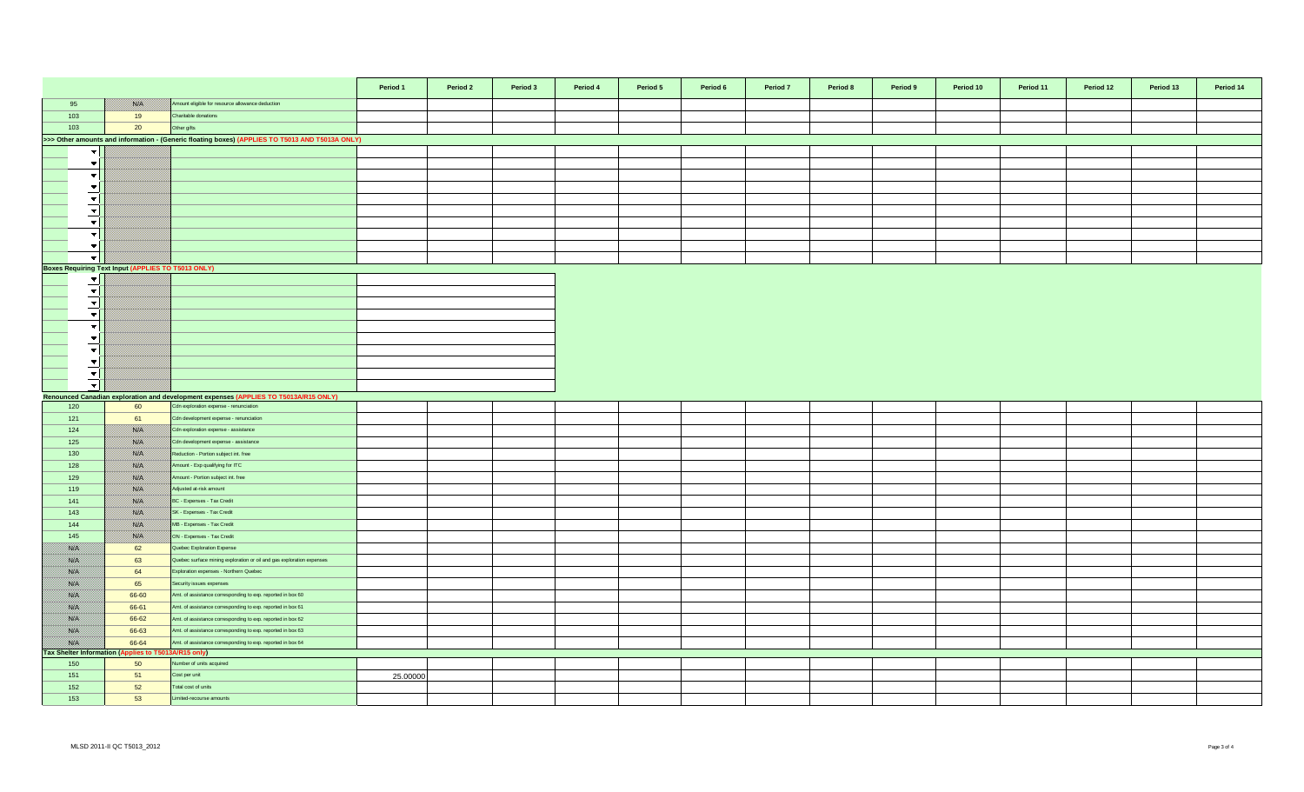|                                 |                                                               |                                                                                                 | Period 1 | Period 2 | Period 3 | Period 4 | Period 5 | Period 6 | Period 7 | Period 8 | Period 9 | Period 10 | Period 11 | Period 12 | Period 13 | Period 14 |
|---------------------------------|---------------------------------------------------------------|-------------------------------------------------------------------------------------------------|----------|----------|----------|----------|----------|----------|----------|----------|----------|-----------|-----------|-----------|-----------|-----------|
| 95                              | NG PA                                                         | Amount eligible for resource allowance deduction                                                |          |          |          |          |          |          |          |          |          |           |           |           |           |           |
| 103                             | 19                                                            | Charitable donations                                                                            |          |          |          |          |          |          |          |          |          |           |           |           |           |           |
| 103                             | 20                                                            | Other gifts                                                                                     |          |          |          |          |          |          |          |          |          |           |           |           |           |           |
|                                 |                                                               | >>> Other amounts and information - (Generic floating boxes) (APPLIES TO T5013 AND T5013A ONLY) |          |          |          |          |          |          |          |          |          |           |           |           |           |           |
| $\overline{\phantom{a}}$        |                                                               |                                                                                                 |          |          |          |          |          |          |          |          |          |           |           |           |           |           |
| $\blacktriangledown$            |                                                               |                                                                                                 |          |          |          |          |          |          |          |          |          |           |           |           |           |           |
| $\blacktriangledown$            |                                                               |                                                                                                 |          |          |          |          |          |          |          |          |          |           |           |           |           |           |
| $\blacktriangledown$            |                                                               |                                                                                                 |          |          |          |          |          |          |          |          |          |           |           |           |           |           |
| $\blacktriangledown$            |                                                               |                                                                                                 |          |          |          |          |          |          |          |          |          |           |           |           |           |           |
| $\mathbf{v}$                    |                                                               |                                                                                                 |          |          |          |          |          |          |          |          |          |           |           |           |           |           |
| $\mathbf{v}$                    |                                                               |                                                                                                 |          |          |          |          |          |          |          |          |          |           |           |           |           |           |
| $\blacktriangledown$            |                                                               |                                                                                                 |          |          |          |          |          |          |          |          |          |           |           |           |           |           |
| $\overline{\mathbf{v}}$         |                                                               |                                                                                                 |          |          |          |          |          |          |          |          |          |           |           |           |           |           |
| $\mathbf{v}$                    |                                                               |                                                                                                 |          |          |          |          |          |          |          |          |          |           |           |           |           |           |
|                                 | Boxes Requiring Text Input (APPLIES TO T5013 ONLY)            |                                                                                                 |          |          |          |          |          |          |          |          |          |           |           |           |           |           |
| $\mathbf{v}$                    |                                                               |                                                                                                 |          |          |          |          |          |          |          |          |          |           |           |           |           |           |
| $\blacktriangledown$            |                                                               |                                                                                                 |          |          |          |          |          |          |          |          |          |           |           |           |           |           |
| $\blacktriangledown$            |                                                               |                                                                                                 |          |          |          |          |          |          |          |          |          |           |           |           |           |           |
| $\blacktriangledown$            |                                                               |                                                                                                 |          |          |          |          |          |          |          |          |          |           |           |           |           |           |
| $\overline{\phantom{a}}$        |                                                               |                                                                                                 |          |          |          |          |          |          |          |          |          |           |           |           |           |           |
| $\blacktriangledown$            |                                                               |                                                                                                 |          |          |          |          |          |          |          |          |          |           |           |           |           |           |
| $\blacktriangledown$            |                                                               |                                                                                                 |          |          |          |          |          |          |          |          |          |           |           |           |           |           |
| $\blacktriangledown$            |                                                               |                                                                                                 |          |          |          |          |          |          |          |          |          |           |           |           |           |           |
| سيب<br>$\overline{\phantom{a}}$ |                                                               |                                                                                                 |          |          |          |          |          |          |          |          |          |           |           |           |           |           |
| $\overline{\phantom{a}}$        |                                                               |                                                                                                 |          |          |          |          |          |          |          |          |          |           |           |           |           |           |
|                                 |                                                               | Renounced Canadian exploration and development expenses (APPLIES TO T5013A/R15 ONLY)            |          |          |          |          |          |          |          |          |          |           |           |           |           |           |
| 120                             | 60                                                            | Cdn exploration expense - renunciation                                                          |          |          |          |          |          |          |          |          |          |           |           |           |           |           |
| 121                             | 61                                                            | Cdn development expense - renunciation                                                          |          |          |          |          |          |          |          |          |          |           |           |           |           |           |
| 124                             | <b>Side I</b>                                                 | Cdn exploration expense - assistance                                                            |          |          |          |          |          |          |          |          |          |           |           |           |           |           |
| 125                             | <b>BALLY</b>                                                  | Cdn development expense - assistance                                                            |          |          |          |          |          |          |          |          |          |           |           |           |           |           |
| 130                             | NA                                                            | Reduction - Portion subject int. free                                                           |          |          |          |          |          |          |          |          |          |           |           |           |           |           |
| 128                             | <b>SYLV</b>                                                   | Amount - Exp qualifying for ITC                                                                 |          |          |          |          |          |          |          |          |          |           |           |           |           |           |
| 129                             | <b>SALT</b>                                                   | Amount - Portion subject int. free                                                              |          |          |          |          |          |          |          |          |          |           |           |           |           |           |
| 119                             | SSO N                                                         | Adjusted at-risk amount                                                                         |          |          |          |          |          |          |          |          |          |           |           |           |           |           |
| 141                             | <b>BATEL</b>                                                  | BC - Expenses - Tax Credit                                                                      |          |          |          |          |          |          |          |          |          |           |           |           |           |           |
| 143                             | SSO N                                                         | SK - Expenses - Tax Credit                                                                      |          |          |          |          |          |          |          |          |          |           |           |           |           |           |
| 144                             | <b>SOFIA</b>                                                  | MB - Expenses - Tax Credit                                                                      |          |          |          |          |          |          |          |          |          |           |           |           |           |           |
| 145                             | <b>SELEN</b>                                                  | ON - Expenses - Tax Credit                                                                      |          |          |          |          |          |          |          |          |          |           |           |           |           |           |
| <b>BAR</b>                      | 62                                                            | Quebec Exploration Expense                                                                      |          |          |          |          |          |          |          |          |          |           |           |           |           |           |
| <u>mari</u>                     | 63                                                            | Quebec surface mining exploration or oil and gas exploration expenses                           |          |          |          |          |          |          |          |          |          |           |           |           |           |           |
| 788.C                           | 64                                                            | Exploration expenses - Northern Quebec                                                          |          |          |          |          |          |          |          |          |          |           |           |           |           |           |
| <b>BAR</b>                      | 65                                                            | Security issues expenses                                                                        |          |          |          |          |          |          |          |          |          |           |           |           |           |           |
| SSOS                            | 66-60                                                         | Amt. of assistance corresponding to exp. reported in box 60                                     |          |          |          |          |          |          |          |          |          |           |           |           |           |           |
| <b>SAFE</b>                     | 66-61                                                         | Amt. of assistance corresponding to exp. reported in box 61                                     |          |          |          |          |          |          |          |          |          |           |           |           |           |           |
| <b>SSAS</b>                     | 66-62                                                         | Amt. of assistance corresponding to exp. reported in box 62                                     |          |          |          |          |          |          |          |          |          |           |           |           |           |           |
| <b>BAR</b>                      | 66-63                                                         | Amt. of assistance corresponding to exp. reported in box 63                                     |          |          |          |          |          |          |          |          |          |           |           |           |           |           |
| <b>SSIE</b>                     | 66-64<br>Tax Shelter Information (Applies to T5013A/R15 only) | Amt. of assistance corresponding to exp. reported in box 64                                     |          |          |          |          |          |          |          |          |          |           |           |           |           |           |
| 150                             | 50                                                            | Number of units acquired                                                                        |          |          |          |          |          |          |          |          |          |           |           |           |           |           |
| 151                             | 51                                                            | Cost per unit                                                                                   | 25.00000 |          |          |          |          |          |          |          |          |           |           |           |           |           |
| 152                             | 52                                                            | Total cost of units                                                                             |          |          |          |          |          |          |          |          |          |           |           |           |           |           |
| 153                             | 53                                                            | Limited-recourse amounts                                                                        |          |          |          |          |          |          |          |          |          |           |           |           |           |           |
|                                 |                                                               |                                                                                                 |          |          |          |          |          |          |          |          |          |           |           |           |           |           |